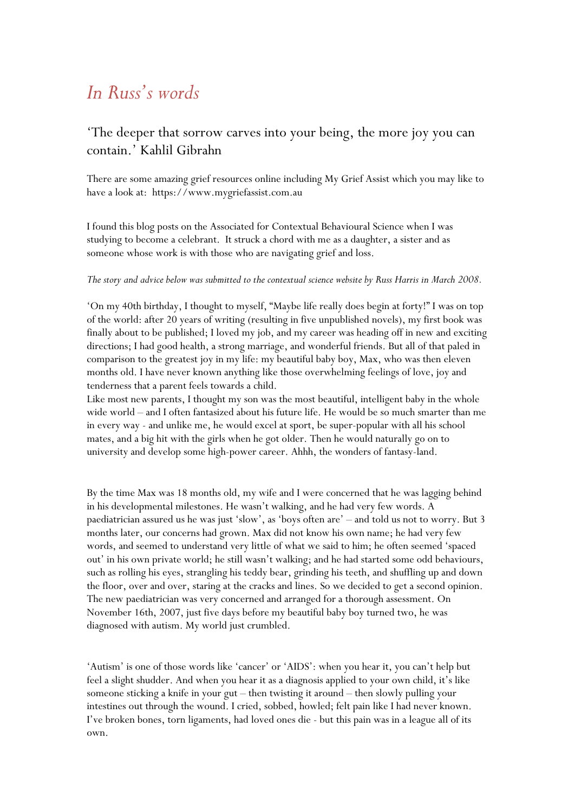# *In Russ's words*

## 'The deeper that sorrow carves into your being, the more joy you can contain.' Kahlil Gibrahn

There are some amazing grief resources online including My Grief Assist which you may like to have a look at: https://www.mygriefassist.com.au

I found this blog posts on the Associated for Contextual Behavioural Science when I was studying to become a celebrant. It struck a chord with me as a daughter, a sister and as someone whose work is with those who are navigating grief and loss.

#### The story and advice below was submitted to the contextual science website by Russ Harris in March 2008.

'On my 40th birthday, I thought to myself, "Maybe life really does begin at forty!" I was on top of the world: after 20 years of writing (resulting in five unpublished novels), my first book was finally about to be published; I loved my job, and my career was heading off in new and exciting directions; I had good health, a strong marriage, and wonderful friends. But all of that paled in comparison to the greatest joy in my life: my beautiful baby boy, Max, who was then eleven months old. I have never known anything like those overwhelming feelings of love, joy and tenderness that a parent feels towards a child.

Like most new parents, I thought my son was the most beautiful, intelligent baby in the whole wide world – and I often fantasized about his future life. He would be so much smarter than me in every way - and unlike me, he would excel at sport, be super-popular with all his school mates, and a big hit with the girls when he got older. Then he would naturally go on to university and develop some high-power career. Ahhh, the wonders of fantasy-land.

By the time Max was 18 months old, my wife and I were concerned that he was lagging behind in his developmental milestones. He wasn't walking, and he had very few words. A paediatrician assured us he was just 'slow', as 'boys often are' – and told us not to worry. But 3 months later, our concerns had grown. Max did not know his own name; he had very few words, and seemed to understand very little of what we said to him; he often seemed 'spaced out' in his own private world; he still wasn't walking; and he had started some odd behaviours, such as rolling his eyes, strangling his teddy bear, grinding his teeth, and shuffling up and down the floor, over and over, staring at the cracks and lines. So we decided to get a second opinion. The new paediatrician was very concerned and arranged for a thorough assessment. On November 16th, 2007, just five days before my beautiful baby boy turned two, he was diagnosed with autism. My world just crumbled.

'Autism' is one of those words like 'cancer' or 'AIDS': when you hear it, you can't help but feel a slight shudder. And when you hear it as a diagnosis applied to your own child, it's like someone sticking a knife in your gut – then twisting it around – then slowly pulling your intestines out through the wound. I cried, sobbed, howled; felt pain like I had never known. I've broken bones, torn ligaments, had loved ones die - but this pain was in a league all of its own.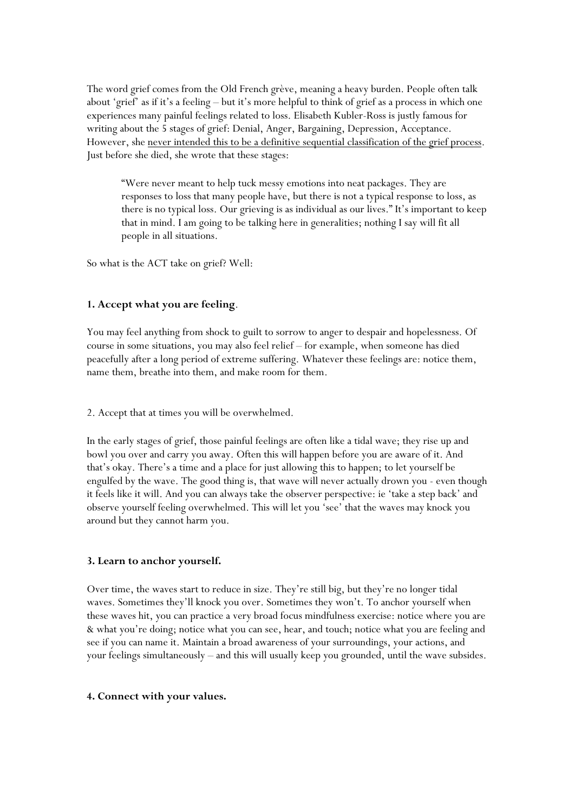The word grief comes from the Old French grève, meaning a heavy burden. People often talk about 'grief' as if it's a feeling – but it's more helpful to think of grief as a process in which one experiences many painful feelings related to loss. Elisabeth Kubler-Ross is justly famous for writing about the 5 stages of grief: Denial, Anger, Bargaining, Depression, Acceptance. However, she never intended this to be a definitive sequential classification of the grief process. Just before she died, she wrote that these stages:

"Were never meant to help tuck messy emotions into neat packages. They are responses to loss that many people have, but there is not a typical response to loss, as there is no typical loss. Our grieving is as individual as our lives." It's important to keep that in mind. I am going to be talking here in generalities; nothing I say will fit all people in all situations.

So what is the ACT take on grief? Well:

#### **1. Accept what you are feeling**.

You may feel anything from shock to guilt to sorrow to anger to despair and hopelessness. Of course in some situations, you may also feel relief – for example, when someone has died peacefully after a long period of extreme suffering. Whatever these feelings are: notice them, name them, breathe into them, and make room for them.

2. Accept that at times you will be overwhelmed.

In the early stages of grief, those painful feelings are often like a tidal wave; they rise up and bowl you over and carry you away. Often this will happen before you are aware of it. And that's okay. There's a time and a place for just allowing this to happen; to let yourself be engulfed by the wave. The good thing is, that wave will never actually drown you - even though it feels like it will. And you can always take the observer perspective: ie 'take a step back' and observe yourself feeling overwhelmed. This will let you 'see' that the waves may knock you around but they cannot harm you.

#### **3. Learn to anchor yourself.**

Over time, the waves start to reduce in size. They're still big, but they're no longer tidal waves. Sometimes they'll knock you over. Sometimes they won't. To anchor yourself when these waves hit, you can practice a very broad focus mindfulness exercise: notice where you are & what you're doing; notice what you can see, hear, and touch; notice what you are feeling and see if you can name it. Maintain a broad awareness of your surroundings, your actions, and your feelings simultaneously – and this will usually keep you grounded, until the wave subsides.

#### **4. Connect with your values.**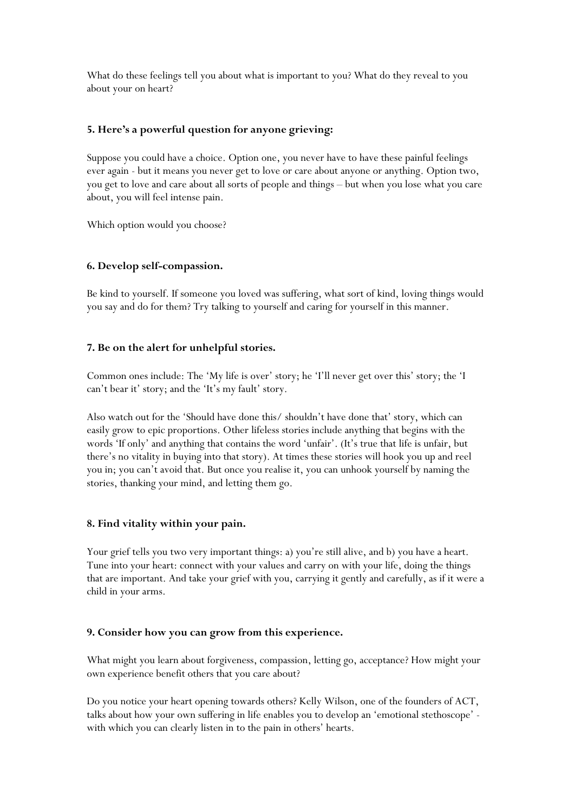What do these feelings tell you about what is important to you? What do they reveal to you about your on heart?

#### **5. Here's a powerful question for anyone grieving:**

Suppose you could have a choice. Option one, you never have to have these painful feelings ever again - but it means you never get to love or care about anyone or anything. Option two, you get to love and care about all sorts of people and things – but when you lose what you care about, you will feel intense pain.

Which option would you choose?

#### **6. Develop self-compassion.**

Be kind to yourself. If someone you loved was suffering, what sort of kind, loving things would you say and do for them? Try talking to yourself and caring for yourself in this manner.

#### **7. Be on the alert for unhelpful stories.**

Common ones include: The 'My life is over' story; he 'I'll never get over this' story; the 'I can't bear it' story; and the 'It's my fault' story.

Also watch out for the 'Should have done this/ shouldn't have done that' story, which can easily grow to epic proportions. Other lifeless stories include anything that begins with the words 'If only' and anything that contains the word 'unfair'. (It's true that life is unfair, but there's no vitality in buying into that story). At times these stories will hook you up and reel you in; you can't avoid that. But once you realise it, you can unhook yourself by naming the stories, thanking your mind, and letting them go.

#### **8. Find vitality within your pain.**

Your grief tells you two very important things: a) you're still alive, and b) you have a heart. Tune into your heart: connect with your values and carry on with your life, doing the things that are important. And take your grief with you, carrying it gently and carefully, as if it were a child in your arms.

#### **9. Consider how you can grow from this experience.**

What might you learn about forgiveness, compassion, letting go, acceptance? How might your own experience benefit others that you care about?

Do you notice your heart opening towards others? Kelly Wilson, one of the founders of ACT, talks about how your own suffering in life enables you to develop an 'emotional stethoscope' with which you can clearly listen in to the pain in others' hearts.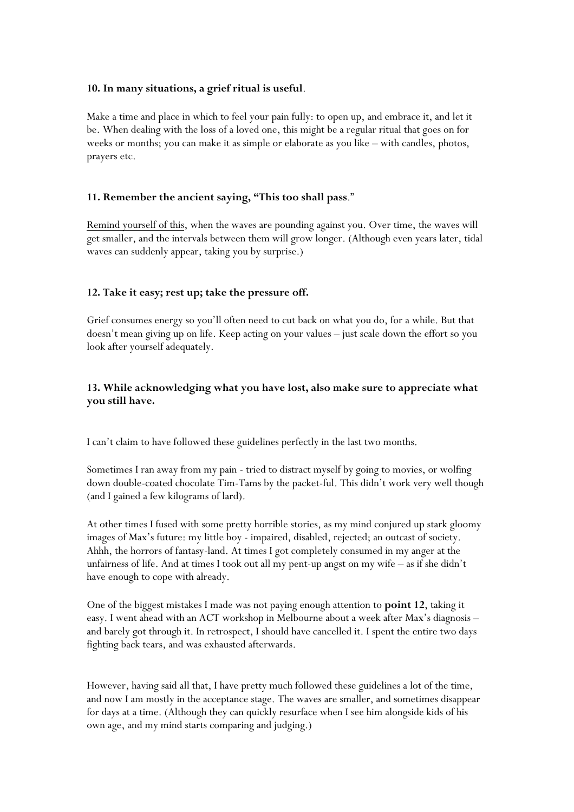#### **10. In many situations, a grief ritual is useful**.

Make a time and place in which to feel your pain fully: to open up, and embrace it, and let it be. When dealing with the loss of a loved one, this might be a regular ritual that goes on for weeks or months; you can make it as simple or elaborate as you like – with candles, photos, prayers etc.

#### **11. Remember the ancient saying, "This too shall pass**."

Remind yourself of this, when the waves are pounding against you. Over time, the waves will get smaller, and the intervals between them will grow longer. (Although even years later, tidal waves can suddenly appear, taking you by surprise.)

#### **12. Take it easy; rest up; take the pressure off.**

Grief consumes energy so you'll often need to cut back on what you do, for a while. But that doesn't mean giving up on life. Keep acting on your values – just scale down the effort so you look after yourself adequately.

### **13. While acknowledging what you have lost, also make sure to appreciate what you still have.**

I can't claim to have followed these guidelines perfectly in the last two months.

Sometimes I ran away from my pain - tried to distract myself by going to movies, or wolfing down double-coated chocolate Tim-Tams by the packet-ful. This didn't work very well though (and I gained a few kilograms of lard).

At other times I fused with some pretty horrible stories, as my mind conjured up stark gloomy images of Max's future: my little boy - impaired, disabled, rejected; an outcast of society. Ahhh, the horrors of fantasy-land. At times I got completely consumed in my anger at the unfairness of life. And at times I took out all my pent-up angst on my wife – as if she didn't have enough to cope with already.

One of the biggest mistakes I made was not paying enough attention to **point 12**, taking it easy. I went ahead with an ACT workshop in Melbourne about a week after Max's diagnosis – and barely got through it. In retrospect, I should have cancelled it. I spent the entire two days fighting back tears, and was exhausted afterwards.

However, having said all that, I have pretty much followed these guidelines a lot of the time, and now I am mostly in the acceptance stage. The waves are smaller, and sometimes disappear for days at a time. (Although they can quickly resurface when I see him alongside kids of his own age, and my mind starts comparing and judging.)